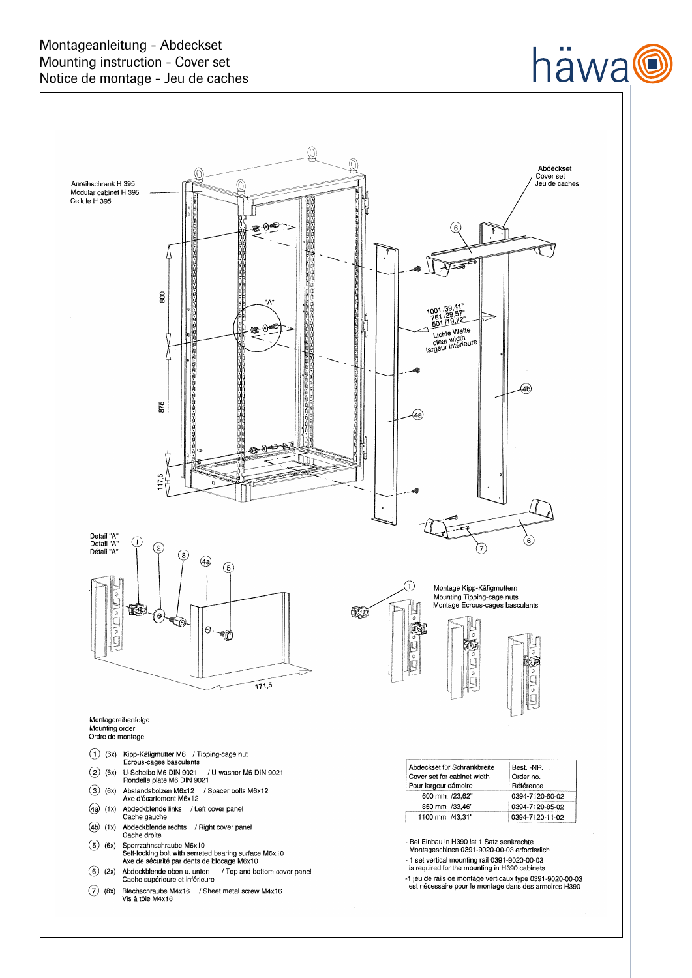

# häwa@